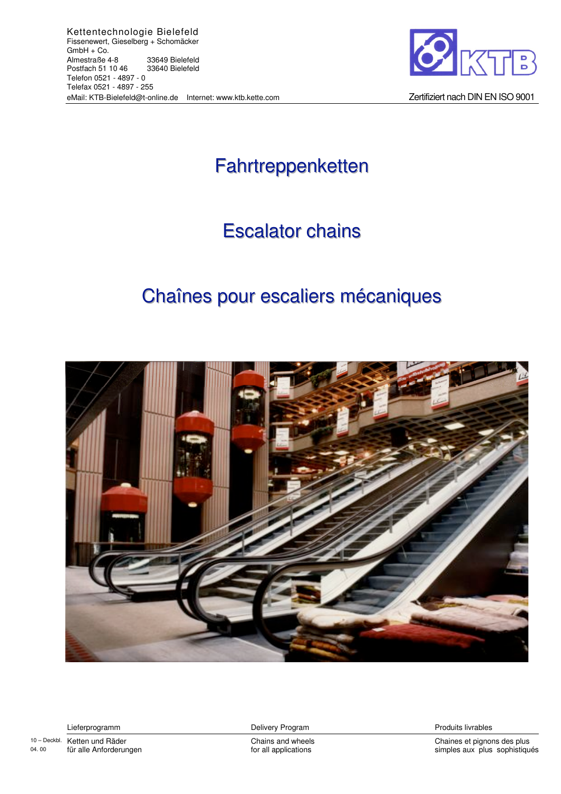

Zertifiziert nach DIN EN ISO 9001

# Fahrtreppenketten

## **Escalator chains**

## Chaînes pour escaliers mécaniques



Lieferprogramm

10-Deckbl. Ketten und Räder 04.00 für alle Anforderungen Delivery Program

Chains and wheels for all applications

Produits livrables

Chaines et pignons des plus simples aux plus sophistiqués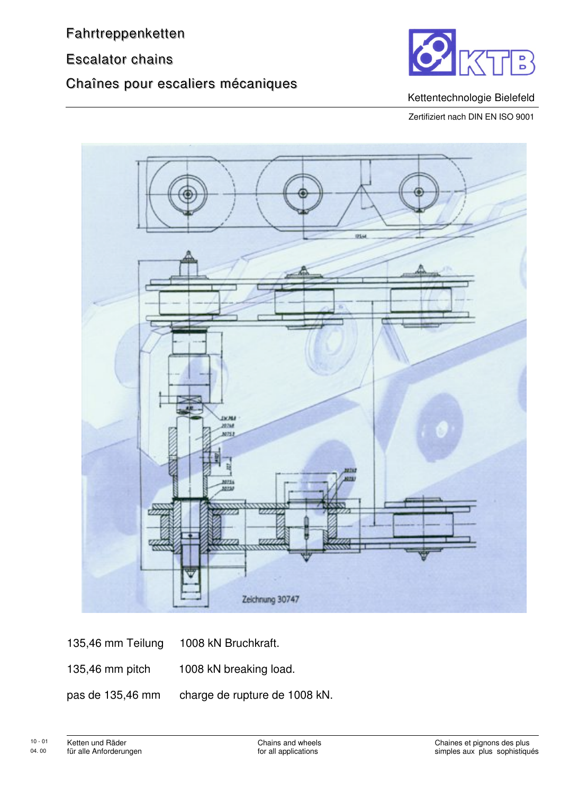**Escalator chains** 

## Chaînes pour escaliers mécaniques



#### Kettentechnologie Bielefeld

Zertifiziert nach DIN EN ISO 9001



135,46 mm Teilung 1008 kN Bruchkraft. 135,46 mm pitch 1008 kN breaking load. charge de rupture de 1008 kN. pas de 135,46 mm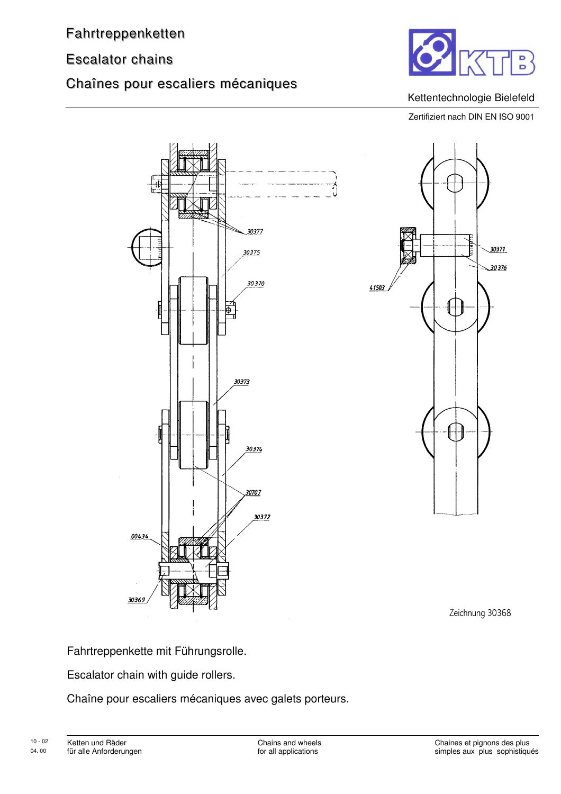### **Escalator chains**

### Chaînes pour escaliers mécaniques



#### Kettentechnologie Bielefeld

Zertifiziert nach DIN EN ISO 9001





Zeichnung 30368

Fahrtreppenkette mit Führungsrolle.

Escalator chain with guide rollers.

Chaîne pour escaliers mécaniques avec galets porteurs.